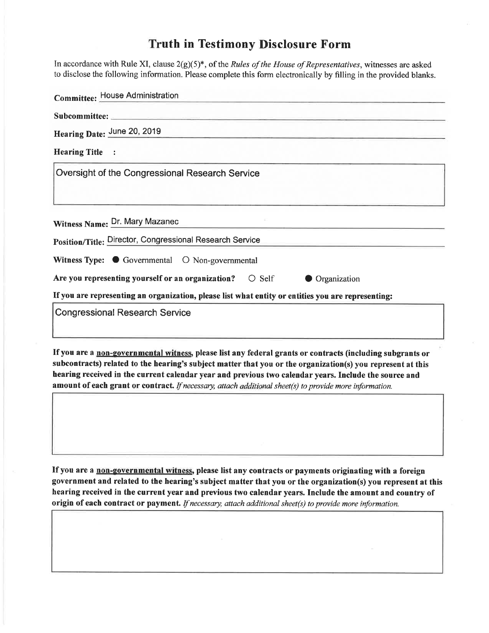## Truth in Testimony Disclosure Form

In accordance with Rule XI, clause  $2(g)(5)^*$ , of the *Rules of the House of Representatives*, witnesses are asked to disclose the following information. Please complete this form electronically by filling in the provided blanks.

| <b>Committee: House Administration</b>                                                                     |
|------------------------------------------------------------------------------------------------------------|
|                                                                                                            |
| Hearing Date: June 20, 2019                                                                                |
| <b>Hearing Title</b>                                                                                       |
| Oversight of the Congressional Research Service                                                            |
|                                                                                                            |
| Witness Name: Dr. Mary Mazanec                                                                             |
| Position/Title: Director, Congressional Research Service                                                   |
| Witness Type: Governmental O Non-governmental                                                              |
| Are you representing yourself or an organization? $\bigcirc$ Self<br><b>Organization</b>                   |
| If you are representing an organization, please list what entity or entities you are representing:         |
| <b>Congressional Research Service</b>                                                                      |
|                                                                                                            |
| If you are a non-governmental without places list any fadousl quante ou contracts finalizing on two states |

If you are a non-governmental witness, please list any federal grants or contracts (including subgrants or subcontracts) related to the hearing's subject matter that you or the organization(s) you represent at this hearing received in the current calendar year and previous two calendar years. Include the source and amount of each grant or contract. If necessary, attach additional sheet(s) to provide more information.

If you are a non-governmental witness, please list any contracts or payments originating with a foreign government and related to the hearing's subject matter that you or the organization(s) you represent at this hearing received in the current year and previous two calendar years. Include the amount and country of origin of each contract or payment. If necessary, attach additional sheet(s) to provide more information.